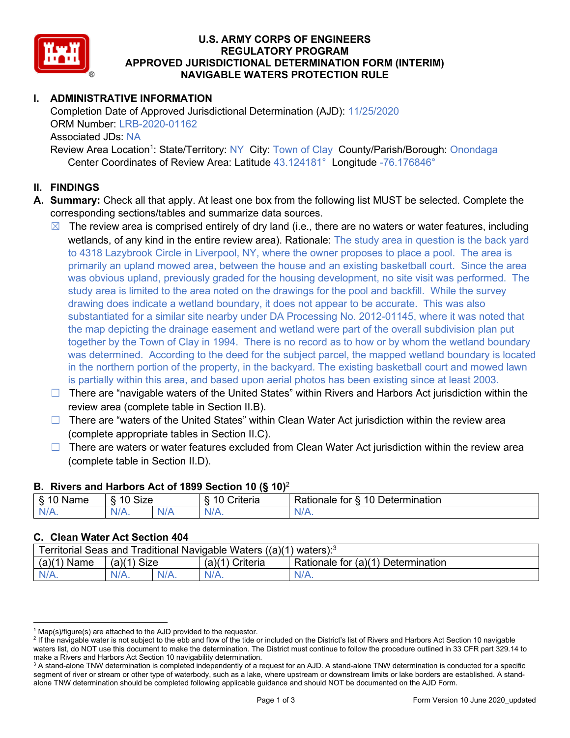

#### **U.S. ARMY CORPS OF ENGINEERS REGULATORY PROGRAM APPROVED JURISDICTIONAL DETERMINATION FORM (INTERIM) NAVIGABLE WATERS PROTECTION RULE**

# **I. ADMINISTRATIVE INFORMATION**

Completion Date of Approved Jurisdictional Determination (AJD): 11/25/2020 ORM Number: LRB-2020-01162 Associated JDs: NA Review Area Location<sup>1</sup>: State/Territory: NY City: Town of Clay County/Parish/Borough: Onondaga Center Coordinates of Review Area: Latitude 43.124181° Longitude -76.176846°

#### **II. FINDINGS**

- **A. Summary:** Check all that apply. At least one box from the following list MUST be selected. Complete the corresponding sections/tables and summarize data sources.
	- ☒ The review area is comprised entirely of dry land (i.e., there are no waters or water features, including wetlands, of any kind in the entire review area). Rationale: The study area in question is the back yard to 4318 Lazybrook Circle in Liverpool, NY, where the owner proposes to place a pool. The area is primarily an upland mowed area, between the house and an existing basketball court. Since the area was obvious upland, previously graded for the housing development, no site visit was performed. The study area is limited to the area noted on the drawings for the pool and backfill. While the survey drawing does indicate a wetland boundary, it does not appear to be accurate. This was also substantiated for a similar site nearby under DA Processing No. 2012-01145, where it was noted that the map depicting the drainage easement and wetland were part of the overall subdivision plan put together by the Town of Clay in 1994. There is no record as to how or by whom the wetland boundary was determined. According to the deed for the subject parcel, the mapped wetland boundary is located in the northern portion of the property, in the backyard. The existing basketball court and mowed lawn is partially within this area, and based upon aerial photos has been existing since at least 2003.
	- $\Box$  There are "navigable waters of the United States" within Rivers and Harbors Act jurisdiction within the review area (complete table in Section II.B).
	- $\Box$  There are "waters of the United States" within Clean Water Act jurisdiction within the review area (complete appropriate tables in Section II.C).
	- $\Box$  There are waters or water features excluded from Clean Water Act jurisdiction within the review area (complete table in Section II.D).

## **B. Rivers and Harbors Act of 1899 Section 10 (§ 10)**<sup>2</sup> § 10 Name | § 10 Size | § 10 Criteria | Rationale for § 10 Determination N/A. N/A. N/A N/A. N/A.

# **C. Clean Water Act Section 404**

| Territorial Seas and Traditional Navigable Waters $((a)(1)$ waters): <sup>3</sup> |               |         |                   |                                    |  |
|-----------------------------------------------------------------------------------|---------------|---------|-------------------|------------------------------------|--|
| $(a)(1)$ Name                                                                     | $(a)(1)$ Size |         | $(a)(1)$ Criteria | Rationale for (a)(1) Determination |  |
| $N/A$ .                                                                           |               | $N/A$ . | $N/A$ .           | N/A.                               |  |

 $1$  Map(s)/figure(s) are attached to the AJD provided to the requestor.

<sup>&</sup>lt;sup>2</sup> If the navigable water is not subject to the ebb and flow of the tide or included on the District's list of Rivers and Harbors Act Section 10 navigable waters list, do NOT use this document to make the determination. The District must continue to follow the procedure outlined in 33 CFR part 329.14 to make a Rivers and Harbors Act Section 10 navigability determination.

<sup>&</sup>lt;sup>3</sup> A stand-alone TNW determination is completed independently of a request for an AJD. A stand-alone TNW determination is conducted for a specific segment of river or stream or other type of waterbody, such as a lake, where upstream or downstream limits or lake borders are established. A standalone TNW determination should be completed following applicable guidance and should NOT be documented on the AJD Form.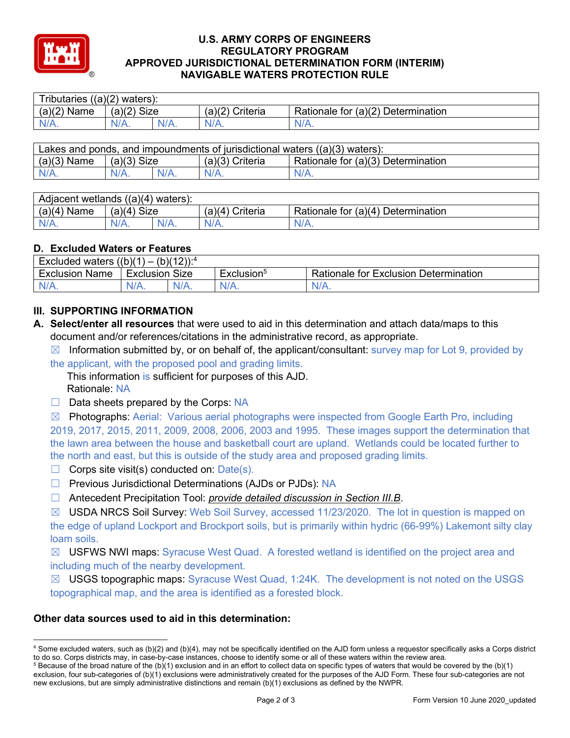

#### **U.S. ARMY CORPS OF ENGINEERS REGULATORY PROGRAM APPROVED JURISDICTIONAL DETERMINATION FORM (INTERIM) NAVIGABLE WATERS PROTECTION RULE**

| $((a)(2)$ waters):<br>! ributaries |               |         |                    |                                    |  |
|------------------------------------|---------------|---------|--------------------|------------------------------------|--|
| (a)(2)<br>Name                     | $(a)(2)$ Size |         | Criteria<br>(a)(2) | Rationale for (a)(2) Determination |  |
| N/A.                               | N/A.          | $N/A$ . | $N/A$ .            | N/A.                               |  |

| Lakes and ponds, and impoundments of jurisdictional waters $((a)(3)$ waters): |               |         |                   |                                    |  |
|-------------------------------------------------------------------------------|---------------|---------|-------------------|------------------------------------|--|
| $(a)(3)$ Name                                                                 | $(a)(3)$ Size |         | $(a)(3)$ Criteria | Rationale for (a)(3) Determination |  |
| $N/A$ .                                                                       | $N/A$ .       | $N/A$ . | $N/A$ .           | $N/A$ .                            |  |

| Adjacent wetlands $((a)(4)$ waters): |                |  |                      |                                    |  |
|--------------------------------------|----------------|--|----------------------|------------------------------------|--|
| $(a)(4)$ Name                        | Size<br>(a)(4) |  | Criteria<br>′a)(4) ເ | Rationale for (a)(4) Determination |  |
| $N/A$ .                              | N/A.           |  | $N/A$ .              | N/A.                               |  |

# **D. Excluded Waters or Features**

| <b>Excluded waters</b><br>$(b)(12))$ : <sup>4</sup><br>((b)(1)<br>$\cdot$ $-$ |                          |         |            |                                       |
|-------------------------------------------------------------------------------|--------------------------|---------|------------|---------------------------------------|
| Exclusion<br>Name                                                             | <b>Size</b><br>Exclusion |         | ≞xclusion° | Rationale for Exclusion Determination |
| $N/A$ .                                                                       | $N/A$ .                  | $N/A$ . | $N/A$ .    | 'V/A.                                 |

# **III. SUPPORTING INFORMATION**

- **A. Select/enter all resources** that were used to aid in this determination and attach data/maps to this document and/or references/citations in the administrative record, as appropriate.
	- $\boxtimes$  Information submitted by, or on behalf of, the applicant/consultant: survey map for Lot 9, provided by the applicant, with the proposed pool and grading limits.

This information is sufficient for purposes of this AJD. Rationale: NA

- $\Box$  Data sheets prepared by the Corps: NA
- $\boxtimes$  Photographs: Aerial: Various aerial photographs were inspected from Google Earth Pro, including 2019, 2017, 2015, 2011, 2009, 2008, 2006, 2003 and 1995. These images support the determination that the lawn area between the house and basketball court are upland. Wetlands could be located further to the north and east, but this is outside of the study area and proposed grading limits.
- $\Box$  Corps site visit(s) conducted on: Date(s).
- □ Previous Jurisdictional Determinations (AJDs or PJDs): NA
- ☐ Antecedent Precipitation Tool: *provide detailed discussion in Section III.B*.

☒ USDA NRCS Soil Survey: Web Soil Survey, accessed 11/23/2020. The lot in question is mapped on the edge of upland Lockport and Brockport soils, but is primarily within hydric (66-99%) Lakemont silty clay loam soils.

 $\boxtimes$  USFWS NWI maps: Syracuse West Quad. A forested wetland is identified on the project area and including much of the nearby development.

☒ USGS topographic maps: Syracuse West Quad, 1:24K. The development is not noted on the USGS topographical map, and the area is identified as a forested block.

## **Other data sources used to aid in this determination:**

<sup>4</sup> Some excluded waters, such as (b)(2) and (b)(4), may not be specifically identified on the AJD form unless a requestor specifically asks a Corps district to do so. Corps districts may, in case-by-case instances, choose to identify some or all of these waters within the review area.

 $5$  Because of the broad nature of the (b)(1) exclusion and in an effort to collect data on specific types of waters that would be covered by the (b)(1) exclusion, four sub-categories of (b)(1) exclusions were administratively created for the purposes of the AJD Form. These four sub-categories are not new exclusions, but are simply administrative distinctions and remain (b)(1) exclusions as defined by the NWPR.